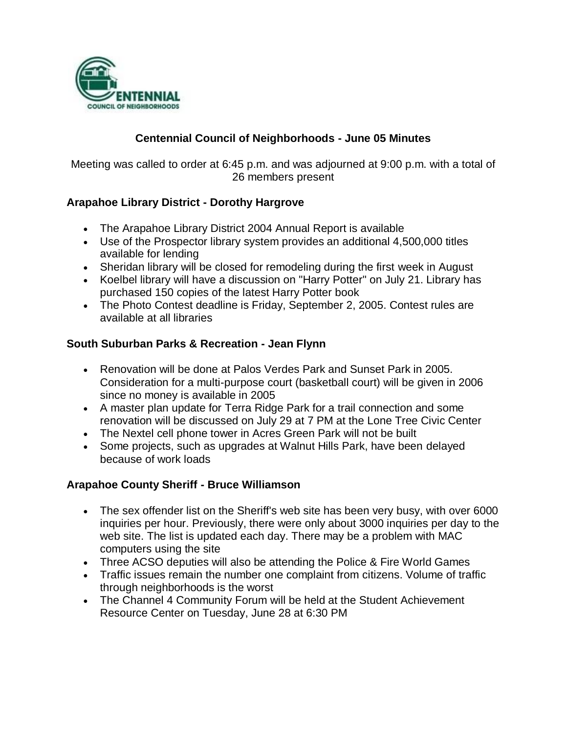

## **Centennial Council of Neighborhoods - June 05 Minutes**

Meeting was called to order at 6:45 p.m. and was adjourned at 9:00 p.m. with a total of 26 members present

## **Arapahoe Library District - Dorothy Hargrove**

- The Arapahoe Library District 2004 Annual Report is available
- Use of the Prospector library system provides an additional 4,500,000 titles available for lending
- Sheridan library will be closed for remodeling during the first week in August
- Koelbel library will have a discussion on "Harry Potter" on July 21. Library has purchased 150 copies of the latest Harry Potter book
- The Photo Contest deadline is Friday, September 2, 2005. Contest rules are available at all libraries

#### **South Suburban Parks & Recreation - Jean Flynn**

- Renovation will be done at Palos Verdes Park and Sunset Park in 2005. Consideration for a multi-purpose court (basketball court) will be given in 2006 since no money is available in 2005
- A master plan update for Terra Ridge Park for a trail connection and some renovation will be discussed on July 29 at 7 PM at the Lone Tree Civic Center
- The Nextel cell phone tower in Acres Green Park will not be built
- Some projects, such as upgrades at Walnut Hills Park, have been delayed because of work loads

### **Arapahoe County Sheriff - Bruce Williamson**

- The sex offender list on the Sheriff's web site has been very busy, with over 6000 inquiries per hour. Previously, there were only about 3000 inquiries per day to the web site. The list is updated each day. There may be a problem with MAC computers using the site
- Three ACSO deputies will also be attending the Police & Fire World Games
- Traffic issues remain the number one complaint from citizens. Volume of traffic through neighborhoods is the worst
- The Channel 4 Community Forum will be held at the Student Achievement Resource Center on Tuesday, June 28 at 6:30 PM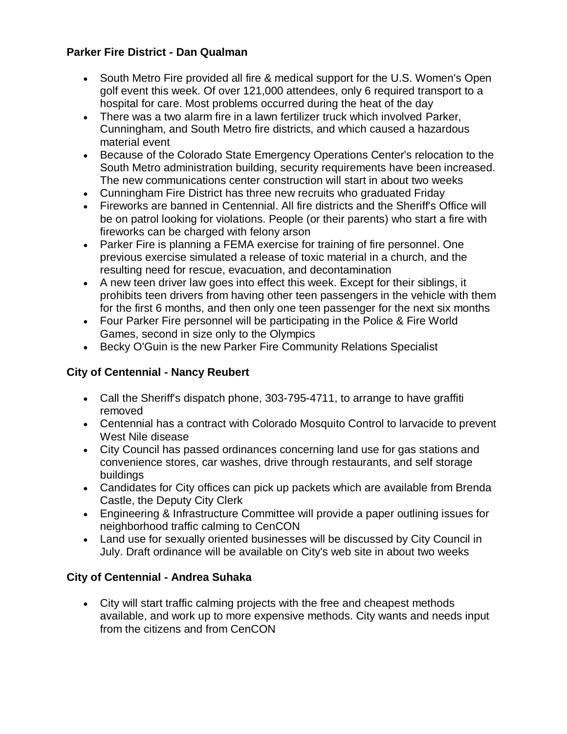### **Parker Fire District - Dan Qualman**

- South Metro Fire provided all fire & medical support for the U.S. Women's Open golf event this week. Of over 121,000 attendees, only 6 required transport to a hospital for care. Most problems occurred during the heat of the day
- There was a two alarm fire in a lawn fertilizer truck which involved Parker, Cunningham, and South Metro fire districts, and which caused a hazardous material event
- Because of the Colorado State Emergency Operations Center's relocation to the South Metro administration building, security requirements have been increased. The new communications center construction will start in about two weeks
- Cunningham Fire District has three new recruits who graduated Friday
- Fireworks are banned in Centennial. All fire districts and the Sheriff's Office will be on patrol looking for violations. People (or their parents) who start a fire with fireworks can be charged with felony arson
- Parker Fire is planning a FEMA exercise for training of fire personnel. One previous exercise simulated a release of toxic material in a church, and the resulting need for rescue, evacuation, and decontamination
- A new teen driver law goes into effect this week. Except for their siblings, it prohibits teen drivers from having other teen passengers in the vehicle with them for the first 6 months, and then only one teen passenger for the next six months
- Four Parker Fire personnel will be participating in the Police & Fire World Games, second in size only to the Olympics
- Becky O'Guin is the new Parker Fire Community Relations Specialist

# **City of Centennial - Nancy Reubert**

- Call the Sheriff's dispatch phone, 303-795-4711, to arrange to have graffiti removed
- Centennial has a contract with Colorado Mosquito Control to larvacide to prevent West Nile disease
- City Council has passed ordinances concerning land use for gas stations and convenience stores, car washes, drive through restaurants, and self storage buildings
- Candidates for City offices can pick up packets which are available from Brenda Castle, the Deputy City Clerk
- Engineering & Infrastructure Committee will provide a paper outlining issues for neighborhood traffic calming to CenCON
- Land use for sexually oriented businesses will be discussed by City Council in July. Draft ordinance will be available on City's web site in about two weeks

# **City of Centennial - Andrea Suhaka**

 City will start traffic calming projects with the free and cheapest methods available, and work up to more expensive methods. City wants and needs input from the citizens and from CenCON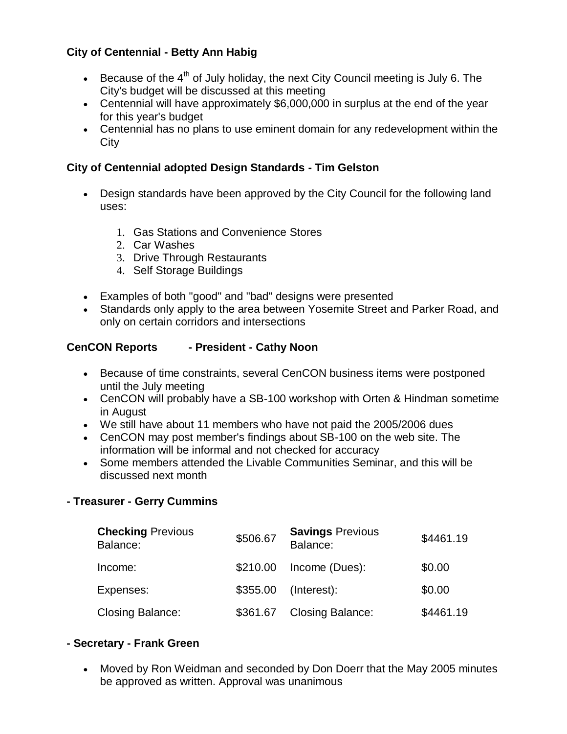### **City of Centennial - Betty Ann Habig**

- Because of the  $4<sup>th</sup>$  of July holiday, the next City Council meeting is July 6. The City's budget will be discussed at this meeting
- Centennial will have approximately \$6,000,000 in surplus at the end of the year for this year's budget
- Centennial has no plans to use eminent domain for any redevelopment within the **City**

### **City of Centennial adopted Design Standards - Tim Gelston**

- Design standards have been approved by the City Council for the following land uses:
	- 1. Gas Stations and Convenience Stores
	- 2. Car Washes
	- 3. Drive Through Restaurants
	- 4. Self Storage Buildings
- Examples of both "good" and "bad" designs were presented
- Standards only apply to the area between Yosemite Street and Parker Road, and only on certain corridors and intersections

### **CenCON Reports - President - Cathy Noon**

- Because of time constraints, several CenCON business items were postponed until the July meeting
- CenCON will probably have a SB-100 workshop with Orten & Hindman sometime in August
- We still have about 11 members who have not paid the 2005/2006 dues
- CenCON may post member's findings about SB-100 on the web site. The information will be informal and not checked for accuracy
- Some members attended the Livable Communities Seminar, and this will be discussed next month

#### **- Treasurer - Gerry Cummins**

| <b>Checking Previous</b><br>Balance: | \$506.67 | <b>Savings Previous</b><br>Balance: | \$4461.19 |
|--------------------------------------|----------|-------------------------------------|-----------|
| Income:                              | \$210.00 | Income (Dues):                      | \$0.00    |
| Expenses:                            | \$355.00 | (Interest):                         | \$0.00    |
| <b>Closing Balance:</b>              | \$361.67 | <b>Closing Balance:</b>             | \$4461.19 |

#### **- Secretary - Frank Green**

 Moved by Ron Weidman and seconded by Don Doerr that the May 2005 minutes be approved as written. Approval was unanimous